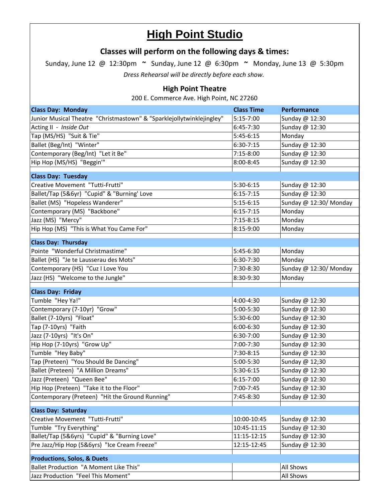## **High Point Studio**

## **Classes will perform on the following days & times:**

Sunday, June 12 @ 12:30pm **~** Sunday, June 12 @ 6:30pm **~** Monday, June 13 @ 5:30pm *Dress Rehearsal will be directly before each show.*

## **High Point Theatre**

200 E. Commerce Ave. High Point, NC 27260

| <b>Class Day: Monday</b>                                              | <b>Class Time</b> | <b>Performance</b>     |
|-----------------------------------------------------------------------|-------------------|------------------------|
| Junior Musical Theatre "Christmastown" & "Sparklejollytwinklejingley" | $5:15 - 7:00$     | Sunday @ 12:30         |
| Acting II - Inside Out                                                | 6:45-7:30         | Sunday @ 12:30         |
| Tap (MS/HS) "Suit & Tie"                                              | $5:45-6:15$       | Monday                 |
| Ballet (Beg/Int) "Winter"                                             | $6:30-7:15$       | Sunday @ 12:30         |
| Contemporary (Beg/Int) "Let it Be"                                    | $7:15-8:00$       | Sunday @ 12:30         |
| Hip Hop (MS/HS) "Beggin"                                              | 8:00-8:45         | Sunday @ 12:30         |
| <b>Class Day: Tuesday</b>                                             |                   |                        |
| Creative Movement "Tutti-Frutti"                                      | 5:30-6:15         | Sunday @ 12:30         |
| Ballet/Tap (5&6yr) "Cupid" & "Burning' Love                           | $6:15 - 7:15$     | Sunday @ 12:30         |
| Ballet (MS) "Hopeless Wanderer"                                       | $5:15-6:15$       | Sunday @ 12:30/ Monday |
| Contemporary (MS) "Backbone"                                          | $6:15 - 7:15$     | Monday                 |
| Jazz (MS) "Mercy"                                                     | $7:15 - 8:15$     | Monday                 |
| Hip Hop (MS) "This is What You Came For"                              | 8:15-9:00         | Monday                 |
| <b>Class Day: Thursday</b>                                            |                   |                        |
| Pointe "Wonderful Christmastime"                                      | 5:45-6:30         | Monday                 |
| Ballet (HS) "Je te Lausserau des Mots"                                | 6:30-7:30         | Monday                 |
| Contemporary (HS) "Cuz I Love You                                     | 7:30-8:30         | Sunday @ 12:30/ Monday |
| Jazz (HS) "Welcome to the Jungle"                                     | 8:30-9:30         | Monday                 |
| <b>Class Day: Friday</b>                                              |                   |                        |
| Tumble "Hey Ya!"                                                      | 4:00-4:30         | Sunday @ 12:30         |
| Contemporary (7-10yr) "Grow"                                          | 5:00-5:30         | Sunday @ 12:30         |
| Ballet (7-10yrs) "Float"                                              | 5:30-6:00         | Sunday @ 12:30         |
| Tap (7-10yrs) "Faith                                                  | 6:00-6:30         | Sunday @ 12:30         |
| Jazz (7-10yrs) "It's On"                                              | 6:30-7:00         | Sunday @ 12:30         |
| Hip Hop (7-10yrs) "Grow Up"                                           | 7:00-7:30         | Sunday @ 12:30         |
| Tumble "Hey Baby"                                                     | 7:30-8:15         | Sunday @ 12:30         |
| Tap (Preteen) "You Should Be Dancing"                                 | 5:00-5:30         | Sunday @ 12;30         |
| Ballet (Preteen) "A Million Dreams"                                   | 5:30-6:15         | Sunday @ 12:30         |
| Jazz (Preteen) "Queen Bee"                                            | $6:15 - 7:00$     | Sunday @ 12:30         |
| Hip Hop (Preteen) "Take it to the Floor"                              | 7:00-7:45         | Sunday @ 12:30         |
| Contemporary (Preteen) "Hit the Ground Running"                       | 7:45-8:30         | Sunday @ 12:30         |
| <b>Class Day: Saturday</b>                                            |                   |                        |
| Creative Movement "Tutti-Frutti"                                      | 10:00-10:45       | Sunday @ 12:30         |
| Tumble "Try Everything"                                               | 10:45-11:15       | Sunday @ 12:30         |
| Ballet/Tap (5&6yrs) "Cupid" & "Burning Love"                          | 11:15-12:15       | Sunday @ 12:30         |
| Pre Jazz/Hip Hop (5&6yrs) "Ice Cream Freeze"                          | 12:15-12:45       | Sunday @ 12:30         |
| <b>Productions, Solos, &amp; Duets</b>                                |                   |                        |
| Ballet Production "A Moment Like This"                                |                   | <b>All Shows</b>       |
| Jazz Production "Feel This Moment"                                    |                   | All Shows              |
|                                                                       |                   |                        |